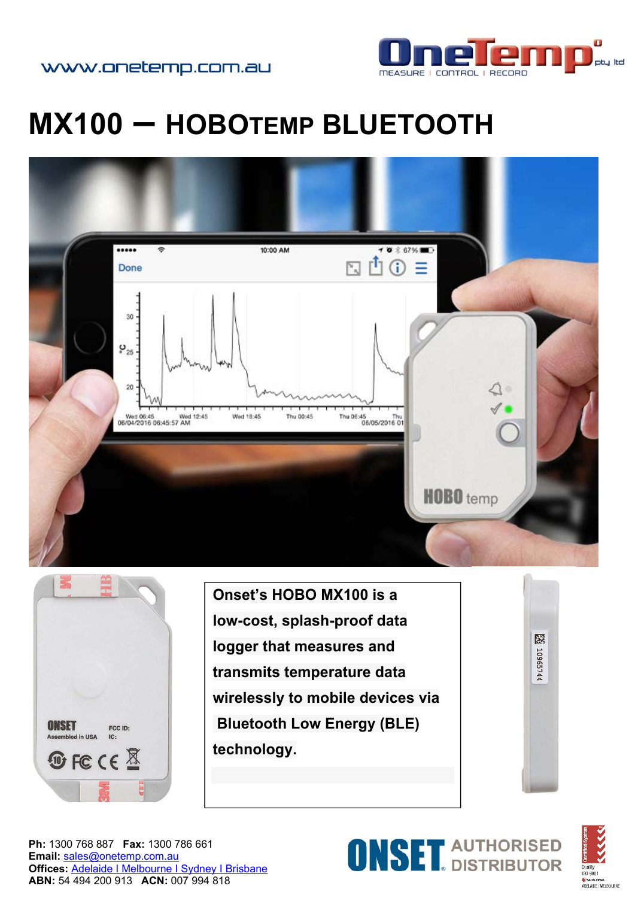

## **MX100 – HOBOTEMP BLUETOOTH**





**Onset's HOBO MX100 is a low-cost, splash-proof data logger that measures and transmits temperature data wirelessly to mobile devices via Bluetooth Low Energy (BLE) technology.**